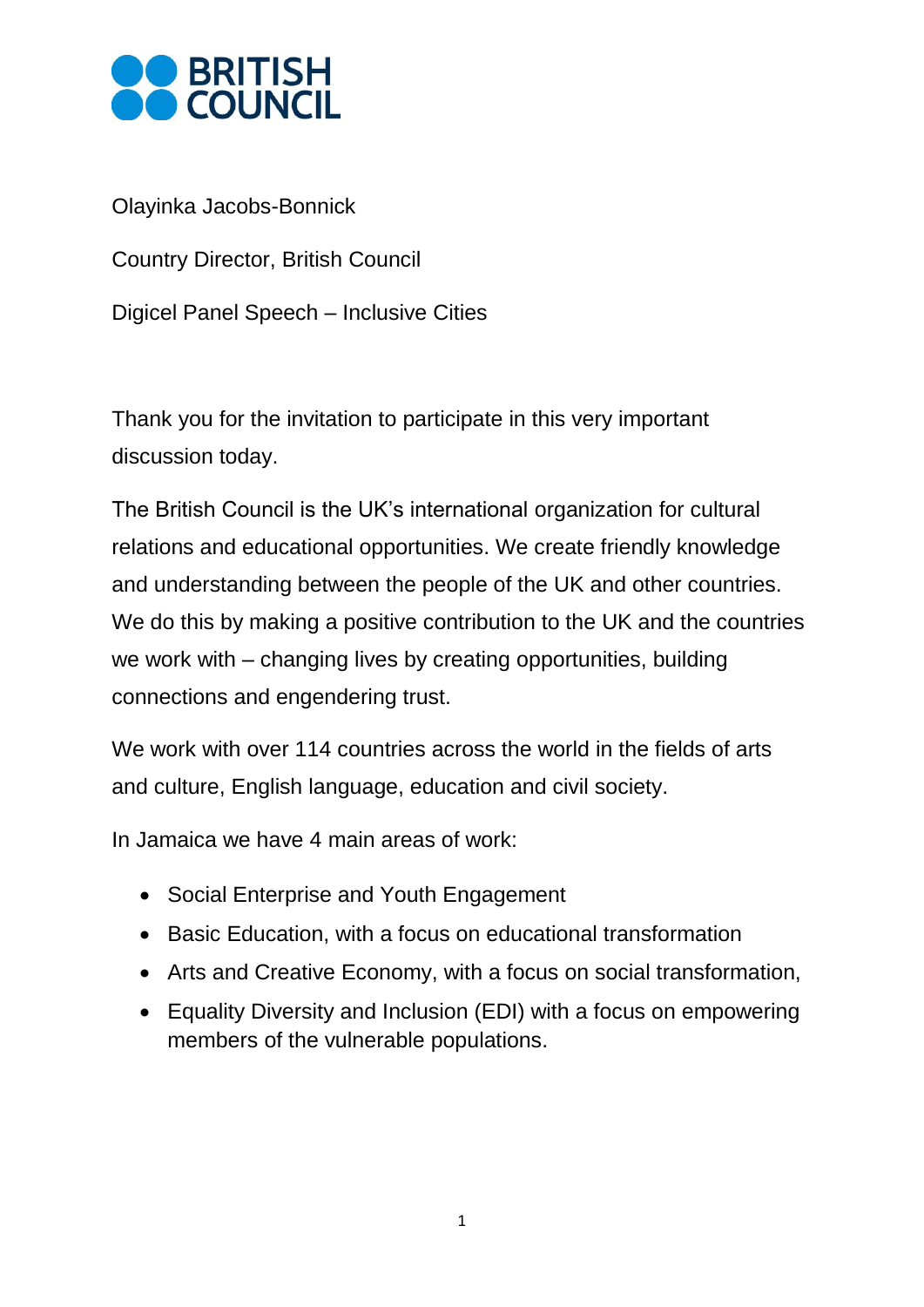

Olayinka Jacobs-Bonnick

Country Director, British Council

Digicel Panel Speech – Inclusive Cities

Thank you for the invitation to participate in this very important discussion today.

The British Council is the UK's international organization for cultural relations and educational opportunities. We create friendly knowledge and understanding between the people of the UK and other countries. We do this by making a positive contribution to the UK and the countries we work with – changing lives by creating opportunities, building connections and engendering trust.

We work with over 114 countries across the world in the fields of arts and culture, English language, education and civil society.

In Jamaica we have 4 main areas of work:

- Social Enterprise and Youth Engagement
- Basic Education, with a focus on educational transformation
- Arts and Creative Economy, with a focus on social transformation,
- Equality Diversity and Inclusion (EDI) with a focus on empowering members of the vulnerable populations.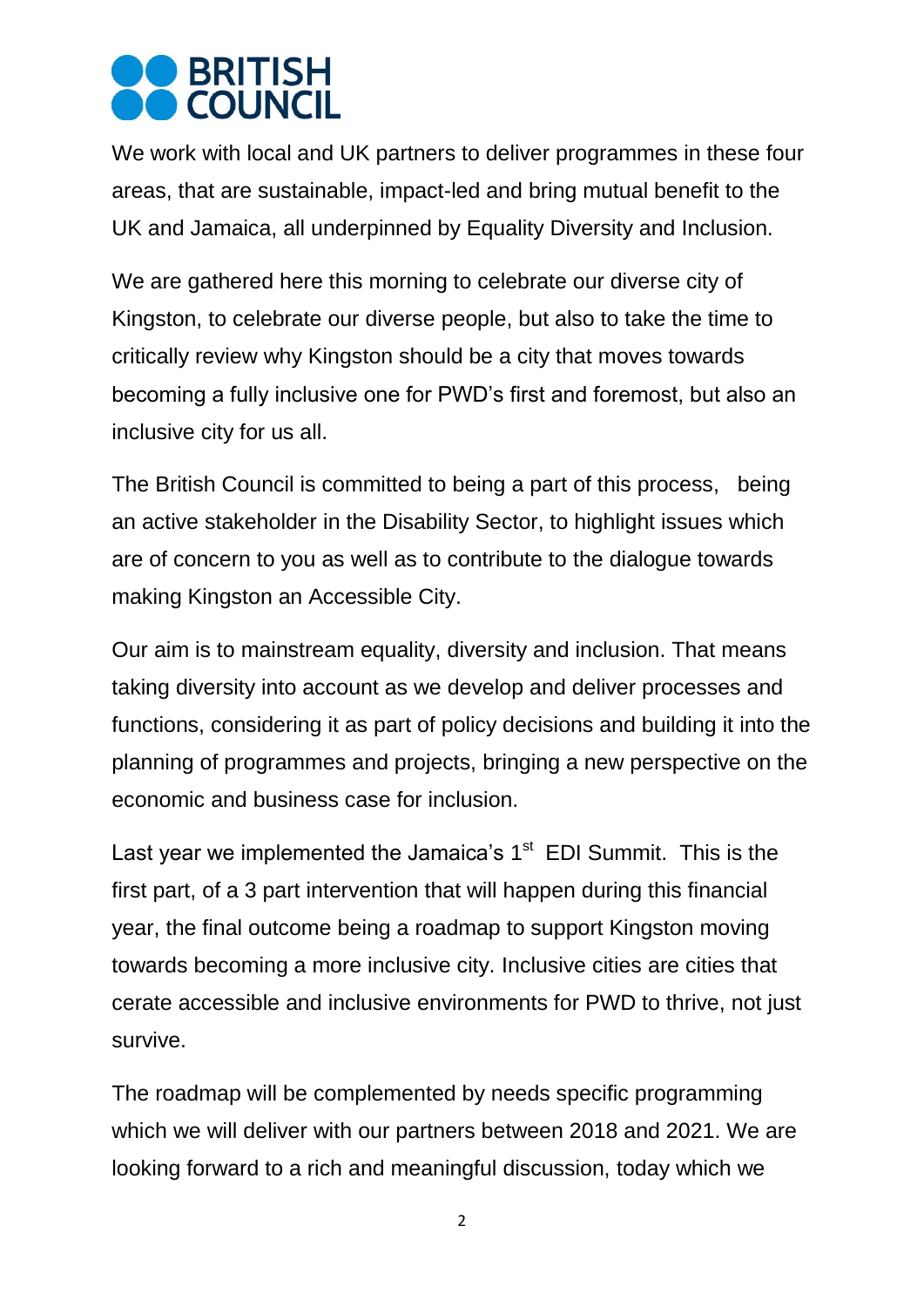## **OBRITISH**

We work with local and UK partners to deliver programmes in these four areas, that are sustainable, impact-led and bring mutual benefit to the UK and Jamaica, all underpinned by Equality Diversity and Inclusion.

We are gathered here this morning to celebrate our diverse city of Kingston, to celebrate our diverse people, but also to take the time to critically review why Kingston should be a city that moves towards becoming a fully inclusive one for PWD's first and foremost, but also an inclusive city for us all.

The British Council is committed to being a part of this process, being an active stakeholder in the Disability Sector, to highlight issues which are of concern to you as well as to contribute to the dialogue towards making Kingston an Accessible City.

Our aim is to mainstream equality, diversity and inclusion. That means taking diversity into account as we develop and deliver processes and functions, considering it as part of policy decisions and building it into the planning of programmes and projects, bringing a new perspective on the economic and business case for inclusion.

Last year we implemented the Jamaica's  $1<sup>st</sup>$  EDI Summit. This is the first part, of a 3 part intervention that will happen during this financial year, the final outcome being a roadmap to support Kingston moving towards becoming a more inclusive city. Inclusive cities are cities that cerate accessible and inclusive environments for PWD to thrive, not just survive.

The roadmap will be complemented by needs specific programming which we will deliver with our partners between 2018 and 2021. We are looking forward to a rich and meaningful discussion, today which we

2